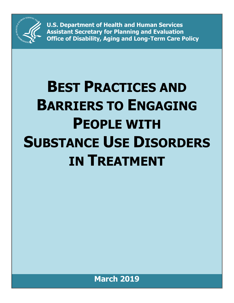

**U.S. Department of Health and Human Services Assistant Secretary for Planning and Evaluation Office of Disability, Aging and Long-Term Care Policy**

# **BEST PRACTICES AND BARRIERS TO ENGAGING PEOPLE WITH SUBSTANCE USE DISORDERS IN TREATMENT**

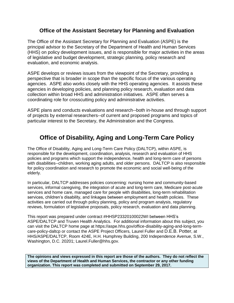## **Office of the Assistant Secretary for Planning and Evaluation**

The Office of the Assistant Secretary for Planning and Evaluation (ASPE) is the principal advisor to the Secretary of the Department of Health and Human Services (HHS) on policy development issues, and is responsible for major activities in the areas of legislative and budget development, strategic planning, policy research and evaluation, and economic analysis.

ASPE develops or reviews issues from the viewpoint of the Secretary, providing a perspective that is broader in scope than the specific focus of the various operating agencies. ASPE also works closely with the HHS operating agencies. It assists these agencies in developing policies, and planning policy research, evaluation and data collection within broad HHS and administration initiatives. ASPE often serves a coordinating role for crosscutting policy and administrative activities.

ASPE plans and conducts evaluations and research--both in-house and through support of projects by external researchers--of current and proposed programs and topics of particular interest to the Secretary, the Administration and the Congress.

# **Office of Disability, Aging and Long-Term Care Policy**

The Office of Disability, Aging and Long-Term Care Policy (DALTCP), within ASPE, is responsible for the development, coordination, analysis, research and evaluation of HHS policies and programs which support the independence, health and long-term care of persons with disabilities--children, working aging adults, and older persons. DALTCP is also responsible for policy coordination and research to promote the economic and social well-being of the elderly.

In particular, DALTCP addresses policies concerning: nursing home and community-based services, informal caregiving, the integration of acute and long-term care, Medicare post-acute services and home care, managed care for people with disabilities, long-term rehabilitation services, children's disability, and linkages between employment and health policies. These activities are carried out through policy planning, policy and program analysis, regulatory reviews, formulation of legislative proposals, policy research, evaluation and data planning.

This report was prepared under contract #HHSP23320100022WI between HHS's ASPE/DALTCP and Truven Health Analytics. For additional information about this subject, you can visit the DALTCP home page at https://aspe.hhs.gov/office-disability-aging-and-long-termcare-policy-daltcp or contact the ASPE Project Officers, Laurel Fuller and D.E.B. Potter, at HHS/ASPE/DALTCP, Room 424E, H.H. Humphrey Building, 200 Independence Avenue, S.W., Washington, D.C. 20201; Laurel.Fuller@hhs.gov.

**The opinions and views expressed in this report are those of the authors. They do not reflect the views of the Department of Health and Human Services, the contractor or any other funding organization. This report was completed and submitted on September 29, 2017.**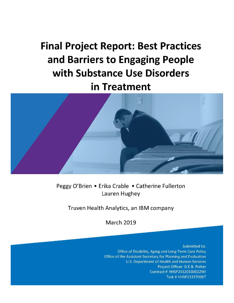**Final Project Report: Best Practices** and Barriers to Engaging People with Substance Use Disorders in Treatment



Peggy O'Brien . Erika Crable . Catherine Fullerton Lauren Hughey

Truven Health Analytics, an IBM company

**March 2019** 

Submitted to: Office of Disability, Aging and Long-Term Care Policy Office of the Assistant Secretary for Planning and Evaluation U.S. Department of Health and Human Services Project Officer: D.E.B. Potter Contract # HHSP23320100022WI Task # HHSP23337006T